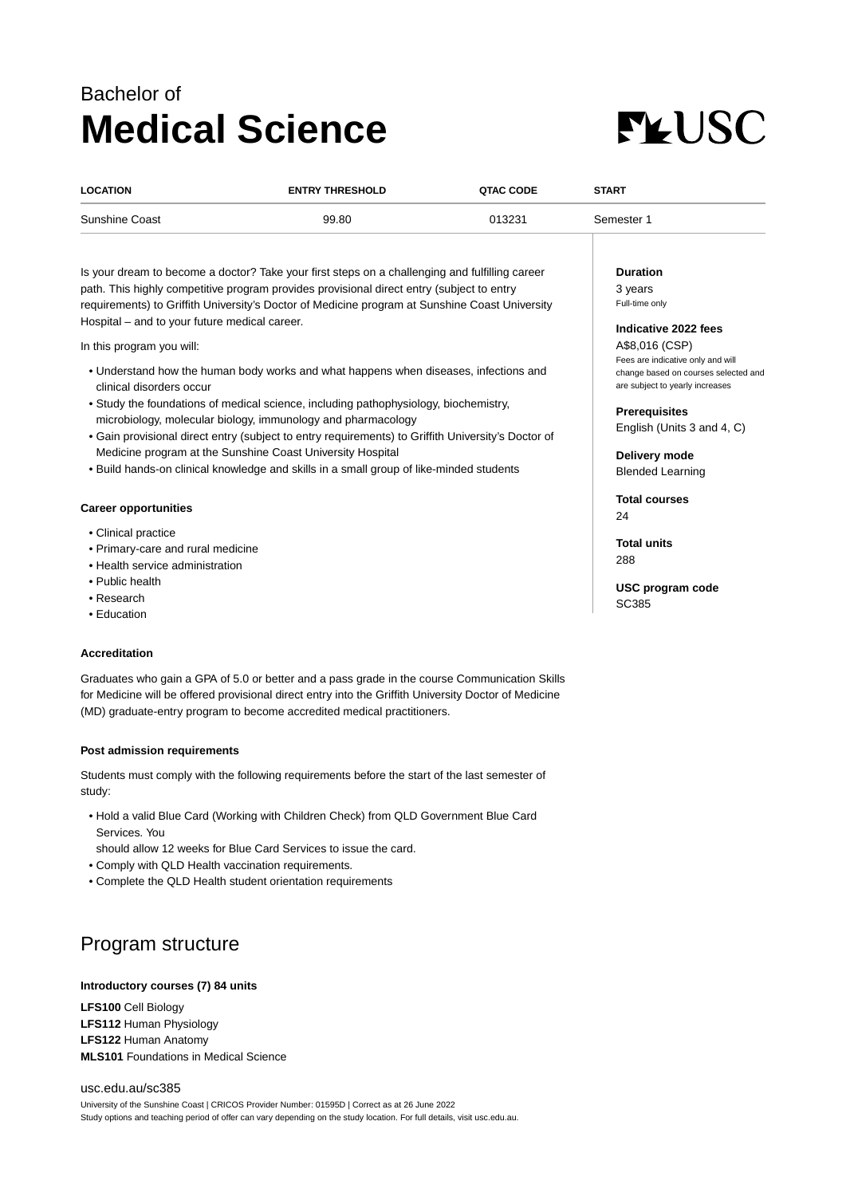# Bachelor of **Medical Science**



| <b>LOCATION</b> | <b>ENTRY THRESHOLD</b> | QTAC CODE | <b>START</b> |
|-----------------|------------------------|-----------|--------------|
| Sunshine Coast  | 99.80                  | 013231    | Semester 1   |

Is your dream to become a doctor? Take your first steps on a challenging and fulfilling career path. This highly competitive program provides provisional direct entry (subject to entry requirements) to Griffith University's Doctor of Medicine program at Sunshine Coast University Hospital – and to your future medical career.

In this program you will:

- Understand how the human body works and what happens when diseases, infections and clinical disorders occur
- Study the foundations of medical science, including pathophysiology, biochemistry, microbiology, molecular biology, immunology and pharmacology
- Gain provisional direct entry (subject to entry requirements) to Griffith University's Doctor of Medicine program at the Sunshine Coast University Hospital
- Build hands-on clinical knowledge and skills in a small group of like-minded students

#### **Career opportunities**

- Clinical practice
- Primary-care and rural medicine
- Health service administration
- Public health
- Research
- Education

#### **Accreditation**

Graduates who gain a GPA of 5.0 or better and a pass grade in the course Communication Skills for Medicine will be offered provisional direct entry into the Griffith University Doctor of Medicine (MD) graduate-entry program to become accredited medical practitioners.

#### **Post admission requirements**

Students must comply with the following requirements before the start of the last semester of study:

- Hold a valid Blue Card (Working with Children Check) from QLD Government Blue Card Services. You
- should allow 12 weeks for Blue Card Services to issue the card.
- Comply with QLD Health vaccination requirements.
- Complete the QLD Health student orientation requirements

## Program structure

#### **Introductory courses (7) 84 units**

**LFS100** Cell Biology **LFS112** Human Physiology **LFS122** Human Anatomy **MLS101** Foundations in Medical Science

#### [usc.edu.au/sc385](https://www.usc.edu.au/sc385) University of the Sunshine Coast | CRICOS Provider Number: 01595D | Correct as at 26 June 2022 Study options and teaching period of offer can vary depending on the study location. For full details, visit usc.edu.au.

**Duration** 3 years

Full-time only

### **Indicative 2022 fees**

A\$8,016 (CSP) Fees are indicative only and will change based on courses selected and are subject to yearly increases

**Prerequisites** English (Units 3 and 4, C)

**Delivery mode** Blended Learning

**Total courses** 24

**Total units** 288

SC385

**USC program code**